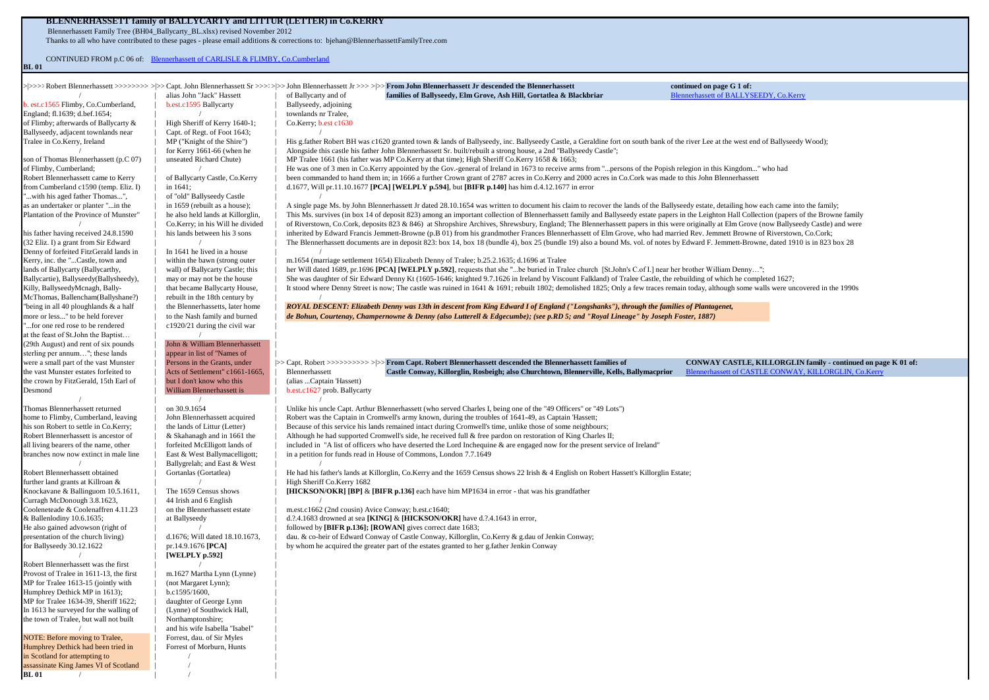# **BLENNERHASSETT family of BALLYCARTY and LITTUR (LETTER) in Co.KERRY** Blennerhassett Family Tree (BH04\_Ballycarty\_BL.xlsx) revised November 2012

**BL 01** /  $\qquad \qquad$  | /  $\qquad \qquad$  |

Thanks to all who have contributed to these pages - please email additions & corrections to: bjehan@BlennerhassettFamilyTree.com

CONTINUED FROM p.C 06 of: [Blennerhassett of CARLISLE & FLIMBY, Co.Cumberland](http://www.blennerhassettfamilytree.com/pages/BH01_Carlisle_C.pdf) **BL 01**

|                                                                                |                                                                  |                                                     | >>>>>>>>>>bobert Blennerhassett >>>>>>>>>>>>>>>>>>> Capt. John Blennerhassett Sr >>>>>>>> John Blennerhassett Jr >>>>>>> From John Blennerhassett Jr descended the Blennerhassett                                                                                                                                                                                   | continued on page G 1 of:              |                                                                                                                        |
|--------------------------------------------------------------------------------|------------------------------------------------------------------|-----------------------------------------------------|---------------------------------------------------------------------------------------------------------------------------------------------------------------------------------------------------------------------------------------------------------------------------------------------------------------------------------------------------------------------|----------------------------------------|------------------------------------------------------------------------------------------------------------------------|
| b. est.c1565 Flimby, Co.Cumberland,                                            | alias John "Jack" Hassett<br>b.est.c1595 Ballycarty              | of Ballycarty and of<br>Ballyseedy, adjoining       | families of Ballyseedy, Elm Grove, Ash Hill, Gortatlea & Blackbriar                                                                                                                                                                                                                                                                                                 | Blennerhassett of BALLYSEEDY, Co.Kerry |                                                                                                                        |
| England; fl.1639; d.bef.1654;                                                  |                                                                  | townlands nr Tralee,                                |                                                                                                                                                                                                                                                                                                                                                                     |                                        |                                                                                                                        |
| of Flimby; afterwards of Ballycarty &                                          | High Sheriff of Kerry 1640-1;                                    | Co.Kerry; b.est c1630                               |                                                                                                                                                                                                                                                                                                                                                                     |                                        |                                                                                                                        |
| Ballyseedy, adjacent townlands near                                            | Capt. of Regt. of Foot 1643;                                     |                                                     |                                                                                                                                                                                                                                                                                                                                                                     |                                        |                                                                                                                        |
| Tralee in Co.Kerry, Ireland                                                    | MP ("Knight of the Shire")                                       |                                                     | His g.father Robert BH was c1620 granted town & lands of Ballyseedy, inc. Ballyseedy Castle, a Geraldine fort on south bank of the river Lee at the west end of Ballyseedy Wood);                                                                                                                                                                                   |                                        |                                                                                                                        |
|                                                                                | for Kerry 1661-66 (when he                                       |                                                     | Alongside this castle his father John Blennerhassett Sr. built/rebuilt a strong house, a 2nd "Ballyseedy Castle";                                                                                                                                                                                                                                                   |                                        |                                                                                                                        |
| son of Thomas Blennerhassett (p.C 07)                                          | unseated Richard Chute)                                          |                                                     | MP Tralee 1661 (his father was MP Co.Kerry at that time); High Sheriff Co.Kerry 1658 & 1663;                                                                                                                                                                                                                                                                        |                                        |                                                                                                                        |
| of Flimby, Cumberland;                                                         |                                                                  |                                                     | He was one of 3 men in Co.Kerry appointed by the Gov.-general of Ireland in 1673 to receive arms from "persons of the Popish relegion in this Kingdom" who had                                                                                                                                                                                                      |                                        |                                                                                                                        |
| Robert Blennerhassett came to Kerry                                            | of Ballycarty Castle, Co.Kerry                                   |                                                     | been commanded to hand them in; in 1666 a further Crown grant of 2787 acres in Co.Kerry and 2000 acres in Co.Cork was made to this John Blennerhassett                                                                                                                                                                                                              |                                        |                                                                                                                        |
| from Cumberland c1590 (temp. Eliz. I)                                          | in 1641;                                                         |                                                     | d.1677, Will pr.11.10.1677 [PCA] [WELPLY p.594], but [BIFR p.140] has him d.4.12.1677 in error                                                                                                                                                                                                                                                                      |                                        |                                                                                                                        |
| "with his aged father Thomas",                                                 | of "old" Ballyseedy Castle                                       |                                                     |                                                                                                                                                                                                                                                                                                                                                                     |                                        |                                                                                                                        |
| as an undertaker or planter "in the                                            | in 1659 (rebuilt as a house);                                    |                                                     | A single page Ms. by John Blennerhassett Jr dated 28.10.1654 was written to document his claim to recover the lands of the Ballyseedy estate, detailing how each came into the family;                                                                                                                                                                              |                                        |                                                                                                                        |
| Plantation of the Province of Munster"                                         | he also held lands at Killorglin,                                |                                                     | This Ms. survives (in box 14 of deposit 823) among an important collection of Blennerhassett family and Ballyseedy estate papers in the Leighton Hall Collection (papers of the Browne family                                                                                                                                                                       |                                        |                                                                                                                        |
|                                                                                | Co.Kerry; in his Will he divided<br>his lands between his 3 sons |                                                     | of Riverstown, Co.Cork, deposits 823 & 846) at Shropshire Archives, Shrewsbury, England; The Blennerhassett papers in this were originally at Elm Grove (now Ballyseedy Castle) and were                                                                                                                                                                            |                                        |                                                                                                                        |
| his father having received 24.8.1590<br>(32 Eliz. I) a grant from Sir Edward   |                                                                  |                                                     | inherited by Edward Francis Jemmett-Browne (p.B 01) from his grandmother Frances Blennerhassett of Elm Grove, who had married Rev. Jemmett Browne of Riverstown, Co.Cork;<br>The Blennerhassett documents are in deposit 823: box 14, box 18 (bundle 4), box 25 (bundle 19) also a bound Ms. vol. of notes by Edward F. Jemmett-Browne, dated 1910 is in 823 box 28 |                                        |                                                                                                                        |
| Denny of forfeited FitzGerald lands in                                         | In 1641 he lived in a house                                      |                                                     |                                                                                                                                                                                                                                                                                                                                                                     |                                        |                                                                                                                        |
| Kerry, inc. the "Castle, town and                                              | within the bawn (strong outer                                    |                                                     | m.1654 (marriage settlement 1654) Elizabeth Denny of Tralee; b.25.2.1635; d.1696 at Tralee                                                                                                                                                                                                                                                                          |                                        |                                                                                                                        |
| lands of Ballycarty (Ballycarthy,                                              | wall) of Ballycarty Castle; this                                 |                                                     | her Will dated 1689, pr.1696 [PCA] [WELPLY p.592], requests that she "be buried in Tralee church [St.John's C.of I.] near her brother William Denny";                                                                                                                                                                                                               |                                        |                                                                                                                        |
| Ballycartie), Ballyseedy(Ballysheedy),                                         | may or may not be the house                                      |                                                     | She was daughter of Sir Edward Denny Kt (1605-1646; knighted 9.7.1626 in Ireland by Viscount Falkland) of Tralee Castle, the rebuilding of which he completed 1627;                                                                                                                                                                                                 |                                        |                                                                                                                        |
| Killy, BallyseedyMcnagh, Bally-                                                | that became Ballycarty House,                                    |                                                     | It stood where Denny Street is now; The castle was ruined in 1641 & 1691; rebuilt 1802; demolished 1825; Only a few traces remain today, although some walls were uncovered in the 1990s                                                                                                                                                                            |                                        |                                                                                                                        |
| McThomas, Ballencham(Ballyshane?)                                              | rebuilt in the 18th century by                                   |                                                     |                                                                                                                                                                                                                                                                                                                                                                     |                                        |                                                                                                                        |
| "being in all 40 ploughlands & a half                                          | the Blennerhassetts, later home                                  |                                                     | ROYAL DESCENT: Elizabeth Denny was 13th in descent from King Edward I of England ("Longshanks"), through the families of Plantagenet,                                                                                                                                                                                                                               |                                        |                                                                                                                        |
| more or less" to be held forever                                               | to the Nash family and burned                                    |                                                     | de Bohun, Courtenay, Champernowne & Denny (also Lutterell & Edgecumbe); (see p.RD 5; and "Royal Lineage" by Joseph Foster, 1887)                                                                                                                                                                                                                                    |                                        |                                                                                                                        |
| "for one red rose to be rendered                                               | c1920/21 during the civil war                                    |                                                     |                                                                                                                                                                                                                                                                                                                                                                     |                                        |                                                                                                                        |
| at the feast of St.John the Baptist                                            |                                                                  |                                                     |                                                                                                                                                                                                                                                                                                                                                                     |                                        |                                                                                                                        |
| (29th August) and rent of six pounds                                           | John & William Blennerhassett                                    |                                                     |                                                                                                                                                                                                                                                                                                                                                                     |                                        |                                                                                                                        |
| sterling per annum"; these lands                                               | appear in list of "Names of                                      |                                                     |                                                                                                                                                                                                                                                                                                                                                                     |                                        |                                                                                                                        |
| were a small part of the vast Munster<br>the vast Munster estates forfeited to | Persons in the Grants, under<br>Acts of Settlement" c1661-1665,  | Blennerhassett                                      | >> Capt. Robert >>>>>>>>>>>>>> > > From Capt. Robert Blennerhassett descended the Blennerhassett families of                                                                                                                                                                                                                                                        |                                        | CONWAY CASTLE, KILLORGLIN family - continued on page K 01 of:<br>Blennerhassett of CASTLE CONWAY, KILLORGLIN, Co.Kerry |
| the crown by FitzGerald, 15th Earl of                                          | but I don't know who this                                        | (alias Captain 'Hassett)                            | Castle Conway, Killorglin, Rosbeigh; also Churchtown, Blennerville, Kells, Ballymacprior                                                                                                                                                                                                                                                                            |                                        |                                                                                                                        |
| Desmond                                                                        | William Blennerhassett is                                        | b.est.c1627 prob. Ballycarty                        |                                                                                                                                                                                                                                                                                                                                                                     |                                        |                                                                                                                        |
|                                                                                |                                                                  |                                                     |                                                                                                                                                                                                                                                                                                                                                                     |                                        |                                                                                                                        |
| Thomas Blennerhassett returned                                                 | on 30.9.1654                                                     |                                                     | Unlike his uncle Capt. Arthur Blennerhassett (who served Charles I, being one of the "49 Officers" or "49 Lots")                                                                                                                                                                                                                                                    |                                        |                                                                                                                        |
| home to Flimby, Cumberland, leaving                                            | John Blennerhassett acquired                                     |                                                     | Robert was the Captain in Cromwell's army known, during the troubles of 1641-49, as Captain 'Hassett;                                                                                                                                                                                                                                                               |                                        |                                                                                                                        |
| his son Robert to settle in Co.Kerry;                                          | the lands of Littur (Letter)                                     |                                                     | Because of this service his lands remained intact during Cromwell's time, unlike those of some neighbours;                                                                                                                                                                                                                                                          |                                        |                                                                                                                        |
| Robert Blennerhassett is ancestor of                                           | & Skahanagh and in 1661 the                                      |                                                     | Although he had supported Cromwell's side, he received full & free pardon on restoration of King Charles II;                                                                                                                                                                                                                                                        |                                        |                                                                                                                        |
| all living bearers of the name, other                                          | forfeited McElligott lands of                                    |                                                     | included in "A list of officers who have deserted the Lord Inchequine $\&$ are engaged now for the present service of Ireland"                                                                                                                                                                                                                                      |                                        |                                                                                                                        |
| branches now now extinct in male line                                          | East & West Ballymacelligott;                                    |                                                     | in a petition for funds read in House of Commons, London 7.7.1649                                                                                                                                                                                                                                                                                                   |                                        |                                                                                                                        |
| Robert Blennerhassett obtained                                                 | Ballygrelah; and East & West<br>Gortanlas (Gortatlea)            |                                                     | He had his father's lands at Killorglin, Co.Kerry and the 1659 Census shows 22 Irish & 4 English on Robert Hassett's Killorglin Estate;                                                                                                                                                                                                                             |                                        |                                                                                                                        |
| further land grants at Killroan &                                              |                                                                  | High Sheriff Co.Kerry 1682                          |                                                                                                                                                                                                                                                                                                                                                                     |                                        |                                                                                                                        |
| Knockavane & Ballinguom 10.5.1611,                                             | The 1659 Census shows                                            |                                                     | [HICKSON/OKR] [BP] & [BIFR p.136] each have him MP1634 in error - that was his grandfather                                                                                                                                                                                                                                                                          |                                        |                                                                                                                        |
| Curragh McDonough 3.8.1623,                                                    | 44 Irish and 6 English                                           |                                                     |                                                                                                                                                                                                                                                                                                                                                                     |                                        |                                                                                                                        |
| Cooleneteade & Coolenaffren 4.11.23                                            | on the Blennerhassett estate                                     | m.est.c1662 (2nd cousin) Avice Conway; b.est.c1640; |                                                                                                                                                                                                                                                                                                                                                                     |                                        |                                                                                                                        |
| & Ballenlodiny 10.6.1635;                                                      | at Ballyseedy                                                    |                                                     | d.?.4.1683 drowned at sea [KING] & [HICKSON/OKR] have d.?.4.1643 in error,                                                                                                                                                                                                                                                                                          |                                        |                                                                                                                        |
| He also gained advowson (right of                                              |                                                                  |                                                     | followed by [BIFR p.136]; [ROWAN] gives correct date 1683;                                                                                                                                                                                                                                                                                                          |                                        |                                                                                                                        |
| presentation of the church living)                                             | d.1676; Will dated 18.10.1673,                                   |                                                     | dau. & co-heir of Edward Conway of Castle Conway, Killorglin, Co.Kerry & g.dau of Jenkin Conway;                                                                                                                                                                                                                                                                    |                                        |                                                                                                                        |
| for Ballyseedy 30.12.1622                                                      | pr.14.9.1676 [PCA]                                               |                                                     | by whom he acquired the greater part of the estates granted to her g.father Jenkin Conway                                                                                                                                                                                                                                                                           |                                        |                                                                                                                        |
|                                                                                | [WELPLY p.592]                                                   |                                                     |                                                                                                                                                                                                                                                                                                                                                                     |                                        |                                                                                                                        |
| Robert Blennerhassett was the first                                            |                                                                  |                                                     |                                                                                                                                                                                                                                                                                                                                                                     |                                        |                                                                                                                        |
| Provost of Tralee in 1611-13, the first<br>MP for Tralee 1613-15 (jointly with | m.1627 Martha Lynn (Lynne)<br>(not Margaret Lynn);               |                                                     |                                                                                                                                                                                                                                                                                                                                                                     |                                        |                                                                                                                        |
| Humphrey Dethick MP in 1613);                                                  | b.c1595/1600,                                                    |                                                     |                                                                                                                                                                                                                                                                                                                                                                     |                                        |                                                                                                                        |
| MP for Tralee 1634-39, Sheriff 1622;                                           | daughter of George Lynn                                          |                                                     |                                                                                                                                                                                                                                                                                                                                                                     |                                        |                                                                                                                        |
| In 1613 he surveyed for the walling of                                         | (Lynne) of Southwick Hall,                                       |                                                     |                                                                                                                                                                                                                                                                                                                                                                     |                                        |                                                                                                                        |
| the town of Tralee, but wall not built                                         | Northamptonshire;                                                |                                                     |                                                                                                                                                                                                                                                                                                                                                                     |                                        |                                                                                                                        |
|                                                                                | and his wife Isabella "Isabel"                                   |                                                     |                                                                                                                                                                                                                                                                                                                                                                     |                                        |                                                                                                                        |
| NOTE: Before moving to Tralee,                                                 | Forrest, dau. of Sir Myles                                       |                                                     |                                                                                                                                                                                                                                                                                                                                                                     |                                        |                                                                                                                        |
| Humphrey Dethick had been tried in                                             | Forrest of Morburn, Hunts                                        |                                                     |                                                                                                                                                                                                                                                                                                                                                                     |                                        |                                                                                                                        |
| in Scotland for attempting to                                                  |                                                                  |                                                     |                                                                                                                                                                                                                                                                                                                                                                     |                                        |                                                                                                                        |
| assassinate King James VI of Scotland                                          |                                                                  |                                                     |                                                                                                                                                                                                                                                                                                                                                                     |                                        |                                                                                                                        |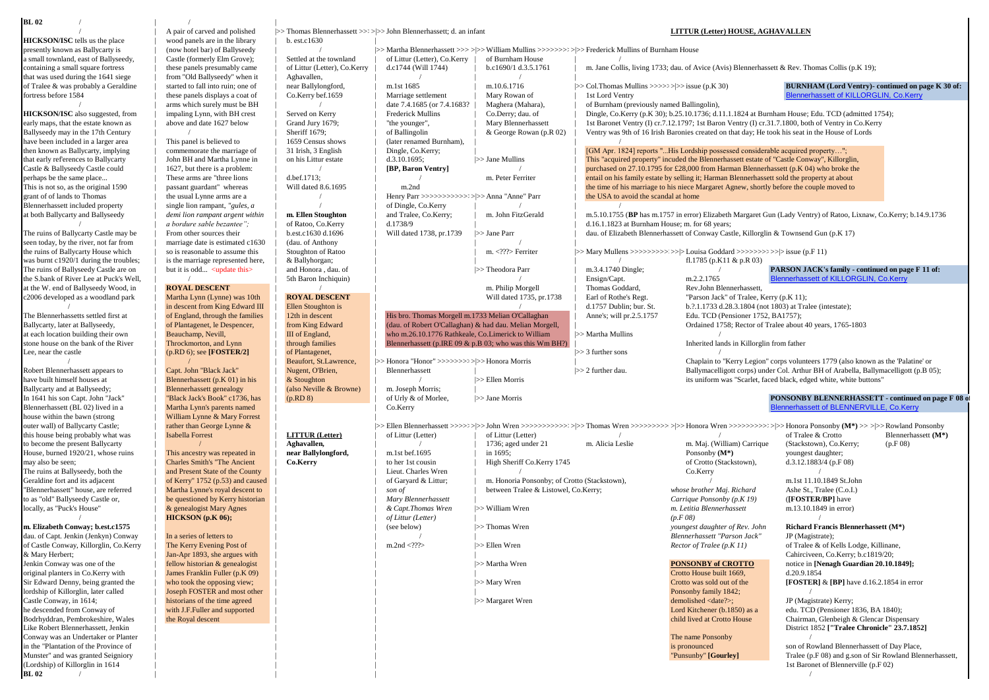## **BL 02** /  $\vert$  /  $\vert$  /  $\vert$

**HICKSON/ISC** tells us the place  $\begin{array}{c|c}\n & \text{wood panels are in the library} \\
\text{presently known as Ballycarty is & \text{(now hotel bar) of Ballvseedv}\n\end{array}$ 

Ballycarty and at Ballyseedy; <br>
In 1641 his son Capt. John "Jack" | "Black Jack's Book" c1736, has | (p.RD 8) | c1 Urly & of Morlee. house within the bawn (strong William Lynne & Mary Forrest<br>
outer wall) of Ballycarty Castle:<br>
rather than George Lynne &

**BL 02** /  $\blacksquare$  /

presently known as Ballycarty is | (now hotel bar) of Ballyseedy | / |>>>Martha Blennerhassett >>>>>>>>>>>>>>>> >|>>>William Mullins >>>>>>>>>>>>>>|>>>Frederick Mullins of Burnham House a small townland, east of Ballyseedy, <br>
containing a small square fortress linese panels presumably came diffusive containing a small square fortress<br>
containing a small square fortress linese panels presumably came diffus these panels presumably cane <br>
fustion (function of Littur (Letter), Co.Kerry d.c1744 (Will 1744) b.c1690/1 d.3.5.1761 m. Jane Collis, living 1733; dau. of Avice (Avis) Blennerhassett & Rev. Thomas Collis (p.K 19);<br>
from " have been included in a larger area | This panel is believed to | 1659 Census shows | (later renamed Burnham), then known as Ballycarty, implying | commemorate the marriage of | 31 Irish, 3 English | Dingle, Co.Kerry, Blennerhassett included property | single lion rampant, *"gules, a* | / / | of Dingle, Co.Kerry at both Ballycarty and Ballyseedy | *demi lion rampant argent within* | **m. Ellen Stoughton** | and Tralee, Co.Kerry;

A pair of carved and polished >>>Thomas Blennerhassett >>>>>> John Blennerhassett; d. an infant **LITTUR (Letter) HOUSE, AGHAVALLEN**<br>wood nanels are in the library hest c1630

that was used during the 1641 siege | from "Old Ballyseedy" when it | Aghavallen, | / | / |

in the "Plantation of the Province of | | | is pronounced son of Rowland Blennerhassett of Day Place, Munster" and was granted Seigniory | | | "Punsunby" **[Gourley]** Tralee (p.F 08) and g.son of Sir Rowland Blennerhassett, 1st Baronet of Blennerville (p.F 02)

of Tralee & was probably a Geraldine started to fall into ruin; one of near Ballylongford, m.1st 1685 m.10.6.1716 >>>>>>>>>>>>>>>>>>>>>>>>>>> issue (p.K 30) <br>
fortress before 1584 **Blennerhassett of KILLORGLIN. Co.Kerry** t fortress before 1584 hese panels displays a coat of | Co.Kerry bef.1659 | Marriage settlement | Mary Rowan of | 1st Lord Ventry | [Blennerhassett of KILLORGLIN, Co.Kerry](http://www.blennerhassettfamilytree.com/pages/BH07_Killorglin_K.pdf) bef.1659 | Marriage settlement | Mary Rowan of | 1st / arms which surely must be BH / / date 7.4.1685 (or 7.4.1683? | Maghera (Mahara), of Burnham (previously named Ballingolin),<br>HICKSON/ISC also suggested, from | impaling Lynn, with BH crest | Served on Kerry | Frederick Mu HICKSON/ISC also suggested, from mpaling Lynn, with BH crest Served on Kerry Frederick Mullins Co.Derry; dau. of Dingle, Co.Kerry (p.K 30); b.25.10.1736; d.11.1.1824 at Burnham House; Edu. TCD (admitted 1754);<br>
early maps, early maps, that the estate known as a labove and date 1627 below | Grand Jury 1679; | "the younger", | Mary Blennerhassett | 1st Baronet Ventry (I) cr.7.12.1797; 1st Baron Ventry (I) cr.31.7.1800, both of Ventry in Co.Ker This panel is believed to a loss of Lords may in the House of Lords (atter renamed Burnham). A correct Rowan (p.R 02) | Ventry was 9th of 16 Irish Baronies created on that day; He took his seat in the House of Lords | 1659 then known as Ballycarty, implying | commemorate the marriage of | 31 Irish, 3 English | Dingle, Co.Kerry; | [GM Apr. 1824] reports "...His Lordship possessed considerable acquired property..."<br>
that early references to Ba that early references to Ballycarty | John BH and Martha Lynne in | on his Littur estate | d.3.10.1695; | >>Jane Mullins | This "acquired property" incuded the Blennerhassett estate of "Castle Conway", Killorglin, Castle & Castle & Ballyseedy Castle could | 1627, but there is a problem: <br>
perhaps be the same place... <br> **EXECUTE:** These arms are "three lions | d.bef.1713; | / **| IP, Baron Ventry** m. Peter Ferriter | entail on his family estat perhaps be the same place... [ These arms are "three lions | d.bef.1713; | / m. Peter Ferriter | entail on his family estate by selling it; Harman Blennerhassett sold the property at about the same place... [ mossant quard This is not so, as the original 1590 | passant guardant" whereas | Will dated 8.6.1695 | m.2nd | the time of his marriage to his niece Margaret Agnew, shortly before the couple moved to rant of of lands to Thomas | the usu grant of of lands to Thomas | the usual Lynne arms are a | / | Henry Parr >>>>>>>>>>>>>>>|>>>Anna "Anne" Parr | the USA to avoid the scandal at home demi lion rampant argent within **m. Ellen Stoughton** and Tralee, Co.Kerry; m. John FitzGerald m.5.10.1755 (BP has m.1757 in error) Elizabeth Margaret Gun (Lady Ventry) of Ratoo, Lixnaw, Co.Kerry; b.14.9.1736<br>a bordure sabl / *a bordure sable bezantee";* | of Ratoo, Co.Kerry | d.1738/9 | | d.1738 at Burnham House; m. for 68 years;<br>The ruins of Ballycarty Castle may be | From other sources their | b.est.c1630 d.1696 | Will dated 1738, pr.1739 The ruins of Ballycarty Castle may be excelence at the ruins of Anthony and District Multiple may be the ruins of Anthony and Gun (p.K 17) and Parr and Gun (p.K 17) and Parr and Gun (p.K 17) and Parr and Gun (p.K 17) and P seen today, by the river, not far from <br>  $\begin{array}{|l|l|} \hline \text{the runs of Ballycarty House which} & \text{so is reasonable to assume this} & \text{Stoughton of Rattoo} & \text{the runs of Ballycarty House which} \hline \end{array}$ the ruins of Ballycarty House which | so is reasonable to assume this | Stoughton of Ratoo | | m. <???> Ferriter |>>>Mary Mullens >>>>>>>>>>>> >>|>>Louisa Goddard >>>>>>>>>>|>>issue (p.F 11) was burnt c1920/1 during the troubles; | is the marriage represented here, | & Ballyhorgan; | | | / fl.1785 (p.K11 & p.R 03) The ruins of Ballyseedy Castle are on | but it is odd... <update this> | and Honora , dau. of | | |>>Theodora Parr | m.3.4.1740 Dingle; **PARSON JACK's family - continued on page F 11 of:**<br>
the S.bank of River Lee at Puck's the S.bank of River Lee at Puck's Well,  $\vert$  /  $\vert$  5th Baron Inchiquin)  $\vert$  /  $\vert$  = /  $\vert$  Ensign/Capt. m.2.2.1765 [Blennerhassett of KILLORGLIN, Co.Kerry](http://www.blennerhassettfamilytree.com/pages/BH07_Killorglin_K.pdf) at the W. end of Ballyseedy Wood, in **ROYAL DESCENT** | / | / | m. Philip Morgell | Thomas Goddard, Rev.John Blennerhassett,<br>C2006 developed as a woodland park | Martha Lynn (Lynne) was 10th | ROYAL DESCENT | Will dated 173 c2006 developed as a woodland park **Martha Lynn (Lynne) was 10th ROYAL DESCENT** | Will dated 1735, pr.1738 Earl of Rothe's Regt. [1757 Dublin; bur. St. / | in descent from King Edward III | Ellen Stoughton is | / | d.1757 Dublin; bur. St. b.?.1.1733 d.28.3.1804 (not 1803) at Tralee (intestate); The Blennerhassetts settled first at | of England, through the families | 12th in descent | His bro. Thomas Morgell m.1733 Melian O'Callaghan | Anne's; will provide the Despencer | Anne Howard (Anne Telescopt | Anne Howard Ballycarty, later at Ballyseedy, | of Plantagenet, le Despencer, from King Edward (dau. of Robert O'Callaghan) & had dau. Melian Morgell, | Ordained 1758; Rector of Tralee about 40 years, 1765-1803<br>at each location buildin at each location building their own | Beauchamp, Nevill, | III of England, | who m.26.10.1776 Rathkeale, Co.Limerick to William |>> Martha Mullins / merited lands in Killorglin from father<br>stone house on the bank of the Ri Stone house on the bank of through families | Blennerhassett (p.IRE 09 & p.B 03; who was this Wm BH?) |  $\sim$  (p.IRD 6): see [FOSTER/2] Lee, near the castle | (p.RD 6); see **[FOSTER/2]** | of Plantagenet, | |>>>3 further sons / Archive Mathematics Corps (1779 (also known as the 'Palatine' or and the 'Meaufort, St.Lawrence, 1999 (also known as the 'Palatine' or and the 'Meaufort, St.Lawrence, 1999 (also known as the 'Palatine' or and the 'Meaufort Robert Blennerhassett appears to | Capt. John "Black Jack" | Nugent, O'Brien, | Blennerhassett | |>>>2 further dau. Ballymacelligott corps) under Col. Arthur BH of Arabella, Ballymacelligott (p.B 05); Blennerhassett (p.K 01) in his <br>
Blennerhassett eenealoev (also Neville & Browne) m. Joseph Morris: <br>
Blennerhassett eenealoev (also Neville & Browne) m. Joseph Morris: | In 1641 his son Capt. John "Jack" | "Black Jack's Book" c1736, has | (p.RD 8) | of Urly & of Morlee, | >> Jane Morris | PONSONBY BLENNERHASSETT - continued on page F 08 of Urly & of Morlee, | | | | | | | | | | | | | | | | Blennerhassett (BL 02) lived in a | Martha Lynn's parents named | | Co.Kerry [Blennerhassett of BLENNERVILLE, Co.Kerry](http://www.blennerhassettfamilytree.com/pages/BH08_Blennerville_F.pdf) outer wall) of Ballycarty Castle; | rather than George Lynne & | |>>>Ellen Blennerhassett >>>>>>>>>>>>>>>> >|>>>John Wren >>>>>>>>>>>>>>>>> >|Thomas Wren >>>>>>>>>>>>>> >|>>>Honora Wren >>>>>>>>>>>>>>>> >|>>>Honora Ponsonby **(M\*)** >>>>>>> >|Rowland Ponsonby this house being probably what was | Isabella Forrest | **LITTUR (Letter)** | of Littur (Letter) | of Littur (Letter) | of Littur (Letter) | of Littur (Letter) | of Littur (Letter) | of Littur (Letter) | controlled to the Le to become the present Ballycarty | / / **Aghavallen,** | / / | 1736; aged under 21 m. Alicia Leslie m. Maj. (William) Carrique (Stackstown), Co.Kerry; (p.F 08)<br>House, burned 1920/21, whose ruins | This ancestry was repeated House, burned 1920/21, whose ruins **This ancestry was repeated in near Ballylongford,** m.1st bef.1695 in 1695; Ponsonby **(M<sup>\*</sup>)</sub> Ponsonby (M<sup>\*</sup>) by annumest daughter; Postery and Charles Smith's "The Ancient Co.Kerry to he** may also be seen; 
and the Smith's "The Ancient | Co.Kerry | to her 1st cousin | High Sheriff Co.Kerry 1745 of Crotto (Stackstown), d.3.12.1883/4 (p.F 08) The ruins at Ballyseedy, both the | and Present State of the County | | Lieut. Charles Wren | / Co.Kerry Co.Kerry Co.Kerry / Co.Kerry / Co.Kerry / Co.Kerry / Co.Kerry / Co.Kerry / Co.Kerry / Co.Kerry / Co.Kerry / Co.Kerry Geraldine fort and its adjacent | of Kerry" 1752 (p.53) and caused | caused | of Garyard & Littur; | m. Honoria Ponsonby; of Crotto (Stackstown), / m. 1st 11.10.1849 St.John m.1st 11.10.1849 St.John [1] the St. Tralee (C.o The Stephen Ashe St., Tralee (C.o.I.)<br>
The Stephen Martia Lynne's royal descent to provide to a law provide to a law of the stephen assett and the stephen of the St., Tralee (C.o.I.)<br>
Mary Blennerhassett | *Mary Blennerhas* to a unit of a state of a state of the policy of the policy of the policy of the policy of the policy of the policy of the policy of the policy (p.K 19) **have Ponsonby (p.K 19) have the policy of the policy of the policy** locally, as "Puck's House" | & genealogist Mary Agnes | | *& Capt.Thomas Wren* |>>>William Wren *m. Letitia Blennerhassett* m.13.10.1849 in error) / | **HICKSON (p.K 06);** | | *of Littur (Letter)* | *(p.F 08)* / **m. Elizabeth Conway; b.est.c1575** | | | (see below) |>>>Thomas Wren *youngest daughter of Rev. John* **Richard Francis Blennerhassett (M\*)** dau. of Capt. Jenkin (Jenkyn) Conway | In a series of letters to | | / | / | **Blennerhassett "Parson Jack"** JP (Magistrate); of Castle Conway, Killorglin, Co.Kerry | The Kerry Evening Post of | m.2nd <???> | m.2nd <???> | Ellen Wren *Rector of Tralee (p.K 11)* of Tralee & of Kells Lodge, Killinane, & Mary Herbert; | Jan-Apr 1893, she argues with | | | Cahirciveen, Co.Kerry; b.c1819/20; Jenkin Conway was one of the | fellow historian & genealogist | | |>>>Martha Wren **PONSONBY of CROTTO** notice in **[Nenagh Guardian 20.10.1849];** original planters in Co.Kerry with | James Franklin Fuller (p.K 09) | | | Crotto House built 1669, d.20.9.1854 Sir Edward Denny, being granted the **and the explored the opposing view;** and the controller the controller the controller the controller the controller the **controller of the controller the controller to the controller to** lordship of Killorglin, later called | Joseph FOSTER and most other | | | Ponsonby family 1842; / Castle Conway, in 1614; | historians of the time agreed | | |>>>Margaret Wren demolished <date?>; JP (Magistrate) Kerry; he descended from Conway of **He descended from Convey of Convey of Convey of Convey of Convey of Convey of American Convey of the Royal descent and supported and the Royal descent and supported and the Royal descent and th** Bodrhyddran, Pembrokeshire, Wales | the Royal descent | | child lived at Crotto House Chairman, Glenbeigh & Glencar Dispensary Like Robert Blennerhassett, Jenkin | | | District 1852 **["Tralee Chronicle" 23.7.1852]** Conway was an Undertaker or Planter | | | The name Ponsonby /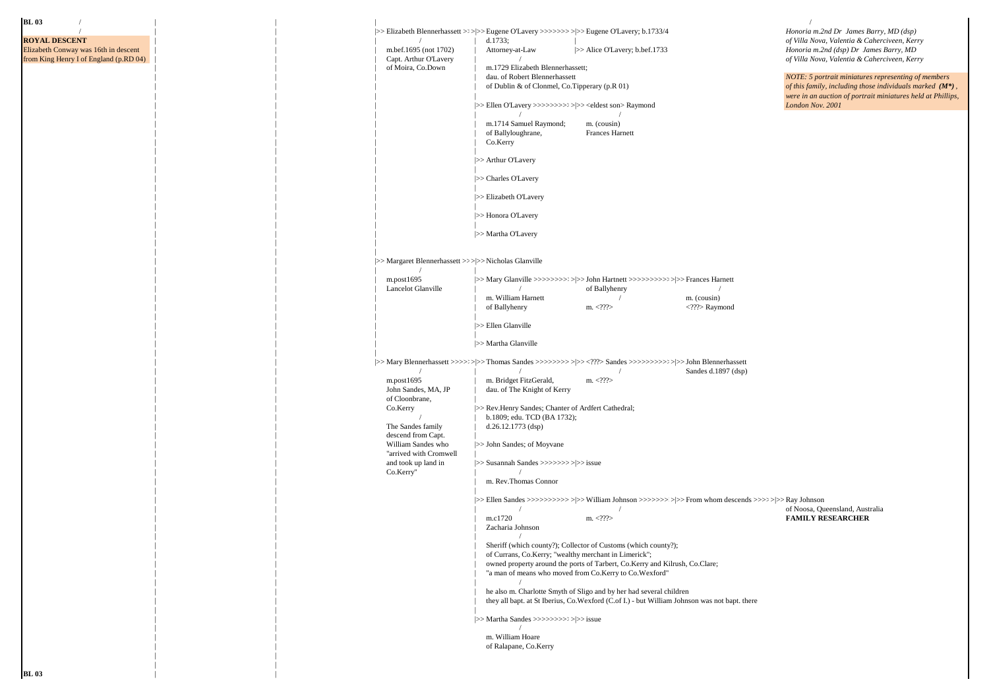### **BL 03** /  $\qquad$  | / | | |>>>Elizabeth Blennerhassett >>>>>>>>>>>>> >|>>>Eugene O'Lavery >>>>>>>>>>>>> >|>>>Eugene O'Lavery; b.1733/4 *Honoria m.2nd Dr James Barry, MD (dsp)* **ROYAL DESCENT** of Villa Nova, Valentia & Caherciveen, Kerry<br> **Royal Descent** distribution of Villa Nova, Valentia & Caherciveen, Kerry<br> **Royal Descent** distribution of Villa Nova, Valentia & Caherciveen, Kerry<br> **Royal Des** m.bef.1695 (not 1702) | Attorney-at-Law |>>Alice O'Lavery; b.bef.1733 *Honoria m.2nd (dsp) Dr James Barry, MD Capt. Arthur O'Lavery* | / *Capt. Arthur O'Lavery* | / *Capt. Arthur O'Lavery* | / *Capt. Arthur O'Lavery* | / from King Henry I of England (p.RD 04) | | | Capt. Arthur O'Lavery | / *of Villa Nova, Valentia & Caherciveen, Kerry* m.1729 Elizabeth Blennerhassett;<br>dau. of Robert Blennerhassett dau. of Robert Blennerhassett *NOTE: 5 portrait miniatures representing of members* of Dublin & of Clonmel, Co.Tipperary (p.R 01) *of this family, including those individuals marked* ( $M^*$  | | | | of Dublin & of Clonmel, Co.Tipperary (p.R 01) *of this family, including those individuals marked (M\*) ,*  | | | | *were in an auction of portrait miniatures held at Phillips,*  | | | |>>>Ellen O'Lavery >>>>>>>>>>>>>>>>>> >|>>><eldest son> Raymond *London Nov. 2001* | | | | / / m. 1714 Samuel Raymond; m. (cousin)<br>of Ballyloughrane. Frances Harnett | | | | of Ballyloughrane, Frances Harnett | | | | Co.Kerry | | | | |>> Arthur O'Lavery | | | | |>> Charles O'Lavery | | | | | >> Elizabeth O'Lavery | | | | |>> Honora O'Lavery | | | | |>> Martha O'Lavery | | | | | | |<br>|>> Margaret Blennerhassett >>>>> Nicholas Glanville | | | / | | | | m.post1695 |>>>Mary Glanville >>>>>>>>>>>>>>>> >|>>>John Hartnett >>>>>>>>>>>>>|>>>Frances Harnett | | | Lancelot Glanville | / of Ballyhenry / | | | | m. William Harnett / m. (cousin) | | | | of Ballyhenry m. <???> <???> Raymond | | | | |<br>|>> Ellen Glanville | | | |  $| >>$  Martha Glanville | | | | | |>>>Mary Blennerhassett >>>>>>>>>>>>>>>> >|>>>Thomas Sandes >>>>>>>>>>> >|>>><???> Sandes >>>>>>>>>>>>>>>|>>>John Blennerhassett | | / | / / Sandes d.1897 (dsp) m.post1695 | m. Bridget FitzGerald, m. <???> | | John Sandes, MA, JP | dau. of The Knight of Kerry of Cloonbrane Co.Kerry  $\gg$  Rev.Henry Sandes; Chanter of Ardfert Cathedral; | b.1809; edu. TCD (BA 1732);<br>The Sandes family | d.26.12.1773 (dsp)  $d.26.12.1773$  (dsp) descend from Capt.<br>William Sandes who  $| >>$  John Sandes; of Moyvane "arrived with Cromwell<br>and took up land in % and took up land in  $|\!\!\>>$  Susannah Sandes >>>>>>>>>>>> >|>> issue Co.Kerry"  $|\!\!\>$  | | Co.Kerry" | / m. Rev.Thomas Connor  $\|$  |  $\|$  |  $\|$  |  $\|$  |  $\|$  |  $\|$  |  $\|$  |  $\|$  |  $\|$  |  $\|$  |  $\|$  |  $\|$  |  $\|$  |  $\|$  |  $\|$  |  $\|$  |  $\|$  |  $\|$  |  $\|$  |  $\|$  |  $\|$  |  $\|$  |  $\|$  |  $\|$  |  $\|$  |  $\|$  |  $\|$  |  $\|$  |  $\|$  |  $\|$  |  $\|$  |  $\|$  | | |>>>Ellen Sandes >>>>>>>>>>>>> >|>>>William Johnson >>>>>>>>>>>>>>> >|>>>From whom descends >>>>>>>>>>> >|>>>Ray Johnson entry of Noosa, Queensland, Australia<br>  $\text{m}_{\text{c}}$  /  $\text{m}_{\text{c}}$  /  $\text{m}_{\text{c}}$  /  $\text{m}_{\text{c}}$  /  $\text{m}_{\text{c}}$  /  $\text{m}_{\text{c}}$  /  $\text{m}_{\text{c}}$  /  $\text{m}_{\text{c}}$  /  $\text{m}_{\text{c}}$  /  $\text{m}_{\text{c}}$  /  $\text{m}_{\text{c}}$  /  $\text{m}_{\text{c}}$  /  $\text$  | | | m.c1720 m. <???> **FAMILY RESEARCHER** Zacharia Johnson | | | / Sheriff (which county?); Collector of Customs (which county?); of Currans, Co.Kerry; "wealthy merchant in Limerick"; owned property around the ports of Tarbert, Co.Kerry and Kilrush, Co.Clare; "a man of means who moved from Co.Kerry to Co.Wexford" | | | / he also m. Charlotte Smyth of Sligo and by her had several children they all bapt. at St Iberius,  $Co.Wexford$  ( $Cof I.$ ) - but William Johnson was not bapt. there  $\|$  |  $\|$  |  $\|$  |  $\|$  |  $\|$  |  $\|$  |  $\|$  |  $\|$  |  $\|$  |  $\|$  |  $\|$  |  $\|$  |  $\|$  |  $\|$  |  $\|$  |  $\|$  |  $\|$  |  $\|$  |  $\|$  |  $\|$  |  $\|$  |  $\|$  |  $\|$  |  $\|$  |  $\|$  |  $\|$  |  $\|$  |  $\|$  |  $\|$  |  $\|$  |  $\|$  |  $\|$  | | |>>>Martha Sandes >>>>>>>>>>>>|>>>issue | | / m. William Hoare of Ralapane, Co.Kerry

 | | | |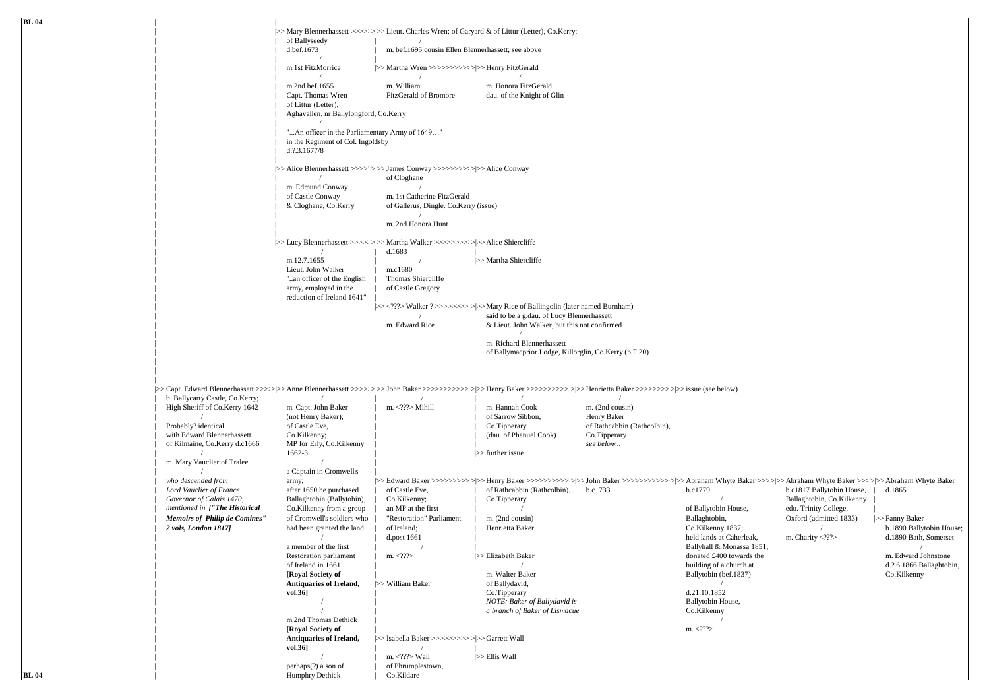**BL 04** | | | |>>>Mary Blennerhassett >>>>>>>>>>>>>>> >|>>>Lieut. Charles Wren; of Garyard & of Littur (Letter), Co.Kerry; of Ballyseedy<br>d.bef.1673 m. bef.1695 cousin Ellen Blennerhassett; see above | | / | | | m.1st FitzMorrice |>>>Martha Wren >>>>>>>>>>>>>>|>>>Henry FitzGerald | | / / / m.2nd bef.1655 m. William m. Honora FitzGerald<br>Cant Thomas Wren FitzGerald of Bromore day of the Knight of G dau, of the Knight of Glin of Littur (Letter), | | Aghavallen, nr Ballylongford, Co.Kerry  $\|$  /  $\|$  /  $\|$  /  $\|$  /  $\|$  /  $\|$  /  $\|$  /  $\|$  /  $\|$  /  $\|$  /  $\|$  /  $\|$  /  $\|$  /  $\|$  /  $\|$  /  $\|$  /  $\|$  /  $\|$  /  $\|$  /  $\|$  /  $\|$  /  $\|$  /  $\|$  /  $\|$  /  $\|$  /  $\|$  /  $\|$  /  $\|$  /  $\|$  /  $\|$  /  $\|$  /  $\|$ "...An officer in the Parliamentary Army of 1649..." in the Regiment of Col. Ingoldsby  $d$ .?.3.1677/8 | | | |>>>Alice Blennerhassett >>>>>>>>>>>>>>>> >|>>>James Conway >>>>>>>>>>>>>|>>>Alice Conway of Cloghane m. Edmund Conway<br>of Castle Conway of Castle Conway m. 1st Catherine FitzGerald<br>
& Cloghane. Co.Kerry of Gallerus. Dingle. Co.Kerr of Gallerus, Dingle, Co.Kerry (issue)  $\|$ m. 2nd Honora Hunt | | | |>>>Lucy Blennerhassett >>>>>>>>>>>>>>> >|>>>Martha Walker >>>>>>>>>>>>>>>>> >|>>>Alice Shiercliffe  $\vert$  d.1683  $\vert$  | m.12.7.1655 | / |>>>Martha Shiercliffe | Lieut. John Walker | m.c1680<br>| an officer of the English | Thomas Shiercliffe "..an officer of the English army, employed in the | of Castle Gregory reduction of Ireland 1641" |>><???> Walker ? >>>>>>>>>>>> >|>> Mary Rice of Ballingolin (later named Burnham) | said to be a g.dau. of Lucy Blennerhassett<br>  $\frac{1}{2}$  /  $\frac{1}{2}$  /  $\frac{1}{2}$  /  $\frac{1}{2}$  /  $\frac{1}{2}$  /  $\frac{1}{2}$  /  $\frac{1}{2}$  /  $\frac{1}{2}$  /  $\frac{1}{2}$  /  $\frac{1}{2}$  /  $\frac{1}{2}$  /  $\frac{1}{2}$  /  $\frac{1}{2}$  /  $\frac{1}{2}$  /  $\frac{1}{2}$  $&$  Lieut. John Walker, but this not confirmed.  $\|$ m. Richard Blennerhassett of Ballymacprior Lodge, Killorglin, Co.Kerry (p.F 20) | | | |>>>Capt. Edward Blennerhassett >>>>>>>> >|Anne Blennerhassett >>>>>>|>>>John Baker >>>>>>>>>>>>>>>>> >|>>>Henry Baker >>>>>>>>>>>>>>>> >|>>>Henrietta Baker >>>>>>>>>>>> >|>>>issue (see below) 1. b. Ballycarty Castle, Co.Kerry;<br>  $\begin{array}{ccc}\n\text{High Sheriff of Co.Kerry} & \text{in. Capt. John Baker} \\
\end{array}$  /  $\begin{array}{ccc}\n\text{m.} & \text{1. } \\
\text{m.} & \text{m. } \\
\end{array}$  /  $\begin{array}{ccc}\n\text{m. Hamnah Cook} \\
\end{array}$ | High Sheriff of Co.Kerry 1642 m. Capt. John Baker | m. <???> Mihill | m. Hannah Cook m. (2nd cousin)<br>
(not Henry Baker);<br>
| m. Sapt. John Baker | m. <???> Mihill | m. Hannah Cook m. (2nd cousin)  $/$  (not Henry Baker);<br>Probably? identical of Castle Eve. of Castle Eve,  $\begin{array}{ccc}\n\text{of } \text{Castle } \text{ive} \\
\text{Co. Kilkenny:} \\
\text{Co. Kilkenny:} \\
\end{array}$  (dau. of Phanuel Cook)  $\begin{array}{ccc}\n\text{of } \text{Rathcabbin (Rathcobbin)} \\
\text{Co. Tipperary} \\
\end{array}$ with Edward Blennerhassett Co.Kilkenny;<br>
of Kilmaine, Co.Kerry d.c1666 MP for Erly, Co.Kilkenny | (dau. of Phanuel Cook) Co.Tippera<br>
see below... of Kilmaine, Co.Kerry d.c1666 | / 1662-3 | |>>>further issue m. Mary Vauclier of Tralee a Captain in Cromwell's | *who descended from* army; |>>>Edward Baker >>>>>>>>>>>>>>>>>>>>>>>>>>>>>>>>>>>>>>>> >|>>>Henry Baker >>>>>>>>>>>>>>> >|>>>John Baker >>>>>>>>>>>>>> >|>>>Abraham Whyte Baker >>>>>> >|>>>Abraham Whyte Baker >>>>>> >|>>>Abraham Whyte Baker | *Lord Vauclier of France,* after 1650 he purchased | of Castle Eve, | of Rathcabbin (Rathcolbin), b.c1733 b.c1779 b.c1817 Ballytobin House, | d.1865 | *Governor of Calais 1470,* Ballaghtobin (Ballytobin), | Co.Kilkenny; | Co.Tipperary / Ballaghtobin, Co.Kilkenny | *mentioned in ["The Historical* Co.Kilkenny from a group | an MP at the first | / of Ballytobin House, edu. Trinity College, | *Memoirs of Philip de Comines"* of Cromwell's soldiers who | "Restoration" Parliament | m. (2nd cousin) Ballaghtobin, Oxford (admitted 1833) |>>>Fanny Baker | *2 vols, London 1817]* had been granted the land | of Ireland; Henrietta Baker Co.Kilkenny 1837; / b.1890 Ballytobin House; | d.post 1661 | details at Caherleak, m. Charity <???> d.1890 Bath, Somerset  $\Box$  a member of the first  $\Box$  /  $\Box$  |  $\Box$  |  $\Box$  |  $\Box$  |  $\Box$  |  $\Box$  |  $\Box$  |  $\Box$  |  $\Box$  |  $\Box$  |  $\Box$  |  $\Box$  |  $\Box$  |  $\Box$  |  $\Box$  |  $\Box$  |  $\Box$  |  $\Box$  |  $\Box$  |  $\Box$  |  $\Box$  |  $\Box$  |  $\Box$  |  $\Box$  |  $\Box$  |  $\Box$  |  $\Box$  | Restoration parliament | m. <???> | |>>Elizabeth Baker donated £400 towards the m. Edward Johnstone | of Ireland in 1661 | / building of a church at d.?.6.1866 Ballaghtobin, | **[Royal Society of** | m. Walter Baker Ballytobin (bef.1837) Co.Kilkenny **Antiquaries of Ireland,**  $\Rightarrow$  William Baker of Ballydavid,  $\begin{array}{c} \sim \\ \text{Co-Tinner} \end{array}$  (21.10.1852 | **vol.36]** | Co.Tipperary d.21.10.1852 **NOTE:** Baker of Ballydavid is **Ballytobin House**, | / | *a branch of Baker of Lismacue* Co.Kilkenny m.2nd Thomas Dethick  $\frac{1}{2}$  m. 2007 | **[Royal Society of** | m. <???> | **Antiquaries of Ireland,** |>>>Isabella Baker >>>>>>>>>>>>>> >|>>>Garrett Wall | **vol.36]** | / |

 $/$   $\qquad$  | m. <???> Wall  $\qquad$  |>> Ellis Wall  $\qquad$  |>> Ellis Wall  $\qquad$  | of Phrumplestown,<br>Co.Kildare